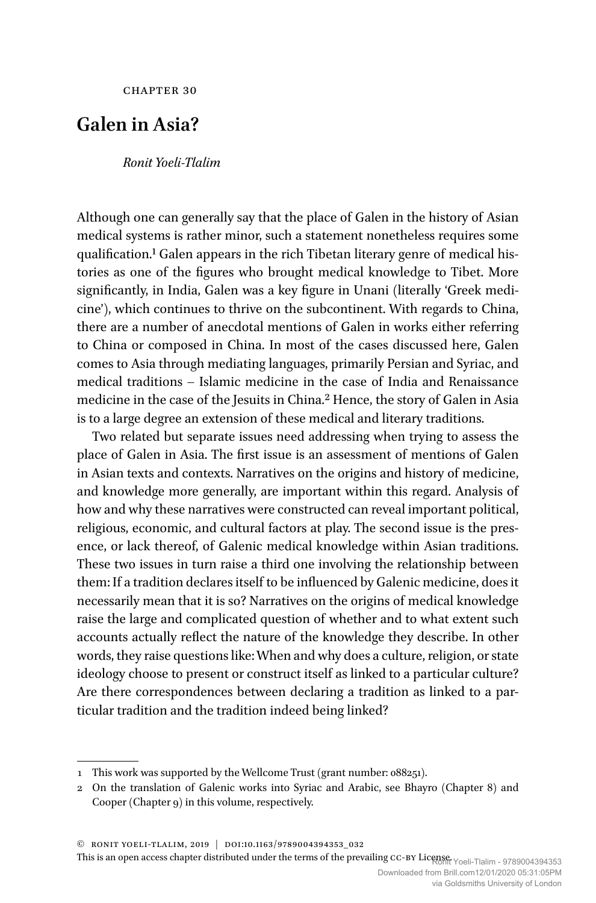#### **CHAPTER 30**

# **Galen in Asia?**

#### *Ronit Yoeli-Tlalim*

Although one can generally say that the place of Galen in the history of Asian medical systems is rather minor, such a statement nonetheless requires some qualification.1 Galen appears in the rich Tibetan literary genre of medical histories as one of the figures who brought medical knowledge to Tibet. More significantly, in India, Galen was a key figure in Unani (literally 'Greek medicine'), which continues to thrive on the subcontinent. With regards to China, there are a number of anecdotal mentions of Galen in works either referring to China or composed in China. In most of the cases discussed here, Galen comes to Asia through mediating languages, primarily Persian and Syriac, and medical traditions – Islamic medicine in the case of India and Renaissance medicine in the case of the Jesuits in China.2 Hence, the story of Galen in Asia is to a large degree an extension of these medical and literary traditions.

Two related but separate issues need addressing when trying to assess the place of Galen in Asia. The first issue is an assessment of mentions of Galen in Asian texts and contexts. Narratives on the origins and history of medicine, and knowledge more generally, are important within this regard. Analysis of how and why these narratives were constructed can reveal important political, religious, economic, and cultural factors at play. The second issue is the presence, or lack thereof, of Galenic medical knowledge within Asian traditions. These two issues in turn raise a third one involving the relationship between them: If a tradition declares itself to be influenced by Galenic medicine, does it necessarily mean that it is so? Narratives on the origins of medical knowledge raise the large and complicated question of whether and to what extent such accounts actually reflect the nature of the knowledge they describe. In other words, they raise questions like: When and why does a culture, religion, or state ideology choose to present or construct itself as linked to a particular culture? Are there correspondences between declaring a tradition as linked to a particular tradition and the tradition indeed being linked?

© Ronit Yoeli-Tlalim, 2019 | doi:10.1163/9789004394353\_032

This is an open access chapter distributed under the terms of the prevailing [CC-BY License.](https://creativecommons.org/licenses/by/4.0/)  $\gamma$ <sub>Oeli-Tlalim - 9789004394353</sub>

<sup>1</sup> This work was supported by the Wellcome Trust (grant number: 088251).

<sup>2</sup> On the translation of Galenic works into Syriac and Arabic, see Bhayro (Chapter 8) and Cooper (Chapter 9) in this volume, respectively.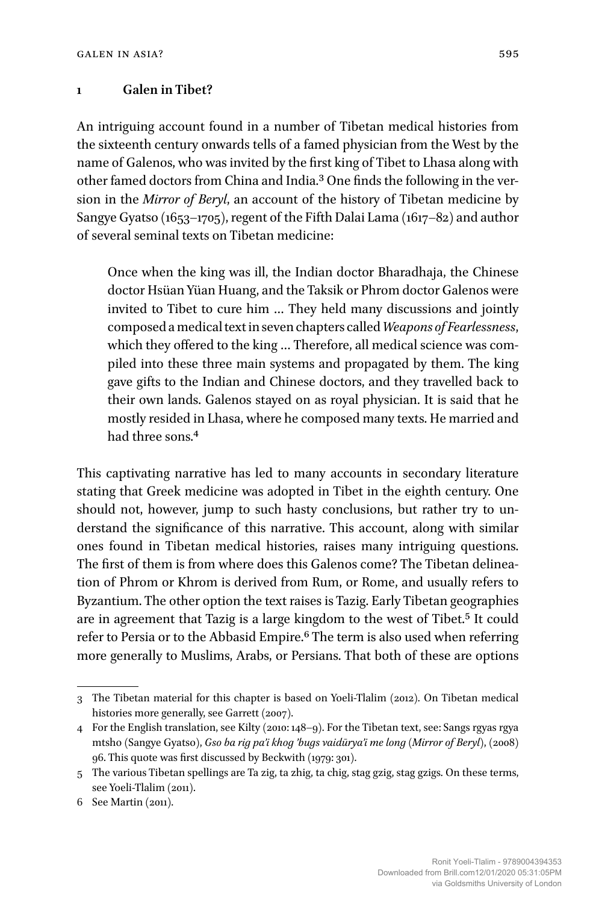# **1 Galen in Tibet?**

An intriguing account found in a number of Tibetan medical histories from the sixteenth century onwards tells of a famed physician from the West by the name of Galenos, who was invited by the first king of Tibet to Lhasa along with other famed doctors from China and India.3 One finds the following in the version in the *Mirror of Beryl*, an account of the history of Tibetan medicine by Sangye Gyatso (1653–1705), regent of the Fifth Dalai Lama (1617–82) and author of several seminal texts on Tibetan medicine:

Once when the king was ill, the Indian doctor Bharadhaja, the Chinese doctor Hsüan Yüan Huang, and the Taksik or Phrom doctor Galenos were invited to Tibet to cure him … They held many discussions and jointly composed a medical text in seven chapters called *Weapons of Fearlessness*, which they offered to the king … Therefore, all medical science was compiled into these three main systems and propagated by them. The king gave gifts to the Indian and Chinese doctors, and they travelled back to their own lands. Galenos stayed on as royal physician. It is said that he mostly resided in Lhasa, where he composed many texts. He married and had three sons.4

This captivating narrative has led to many accounts in secondary literature stating that Greek medicine was adopted in Tibet in the eighth century. One should not, however, jump to such hasty conclusions, but rather try to understand the significance of this narrative. This account, along with similar ones found in Tibetan medical histories, raises many intriguing questions. The first of them is from where does this Galenos come? The Tibetan delineation of Phrom or Khrom is derived from Rum, or Rome, and usually refers to Byzantium. The other option the text raises is Tazig. Early Tibetan geographies are in agreement that Tazig is a large kingdom to the west of Tibet.<sup>5</sup> It could refer to Persia or to the Abbasid Empire.<sup>6</sup> The term is also used when referring more generally to Muslims, Arabs, or Persians. That both of these are options

<sup>3</sup> The Tibetan material for this chapter is based on Yoeli-Tlalim (2012). On Tibetan medical histories more generally, see Garrett (2007).

<sup>4</sup> For the English translation, see Kilty (2010: 148–9). For the Tibetan text, see: Sangs rgyas rgya mtsho (Sangye Gyatso), *Gso ba rig pa'i khog 'bugs vaidūrya'i me long (Mirror of Beryl)*, (2008) 96. This quote was first discussed by Beckwith (1979: 301).

<sup>5</sup> The various Tibetan spellings are Ta zig, ta zhig, ta chig, stag gzig, stag gzigs. On these terms, see Yoeli-Tlalim (2011).

<sup>6</sup> See Martin (2011).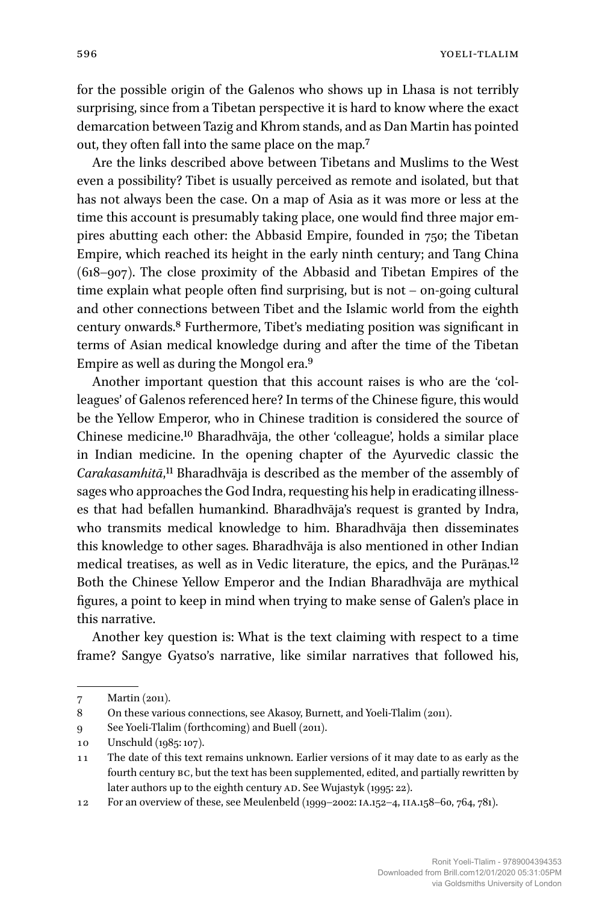596 Yoeli-Tlalim

for the possible origin of the Galenos who shows up in Lhasa is not terribly surprising, since from a Tibetan perspective it is hard to know where the exact demarcation between Tazig and Khrom stands, and as Dan Martin has pointed out, they often fall into the same place on the map.7

Are the links described above between Tibetans and Muslims to the West even a possibility? Tibet is usually perceived as remote and isolated, but that has not always been the case. On a map of Asia as it was more or less at the time this account is presumably taking place, one would find three major empires abutting each other: the Abbasid Empire, founded in 750; the Tibetan Empire, which reached its height in the early ninth century; and Tang China (618–907). The close proximity of the Abbasid and Tibetan Empires of the time explain what people often find surprising, but is not – on-going cultural and other connections between Tibet and the Islamic world from the eighth century onwards.8 Furthermore, Tibet's mediating position was significant in terms of Asian medical knowledge during and after the time of the Tibetan Empire as well as during the Mongol era.9

Another important question that this account raises is who are the 'colleagues' of Galenos referenced here? In terms of the Chinese figure, this would be the Yellow Emperor, who in Chinese tradition is considered the source of Chinese medicine.10 Bharadhvāja, the other 'colleague', holds a similar place in Indian medicine. In the opening chapter of the Ayurvedic classic the *Carakasamhitā*,11 Bharadhvāja is described as the member of the assembly of sages who approaches the God Indra, requesting his help in eradicating illnesses that had befallen humankind. Bharadhvāja's request is granted by Indra, who transmits medical knowledge to him. Bharadhvāja then disseminates this knowledge to other sages. Bharadhvāja is also mentioned in other Indian medical treatises, as well as in Vedic literature, the epics, and the Purāṇas.12 Both the Chinese Yellow Emperor and the Indian Bharadhvāja are mythical figures, a point to keep in mind when trying to make sense of Galen's place in this narrative.

Another key question is: What is the text claiming with respect to a time frame? Sangye Gyatso's narrative, like similar narratives that followed his,

<sup>7</sup> Martin (2011).

<sup>8</sup> On these various connections, see Akasoy, Burnett, and Yoeli-Tlalim (2011).

<sup>9</sup> See Yoeli-Tlalim (forthcoming) and Buell (2011).

<sup>10</sup> Unschuld (1985: 107).

<sup>11</sup> The date of this text remains unknown. Earlier versions of it may date to as early as the fourth century bc, but the text has been supplemented, edited, and partially rewritten by later authors up to the eighth century AD. See Wujastyk (1995: 22).

<sup>12</sup> For an overview of these, see Meulenbeld (1999–2002: IA.152–4, IIA.158–60, 764, 781).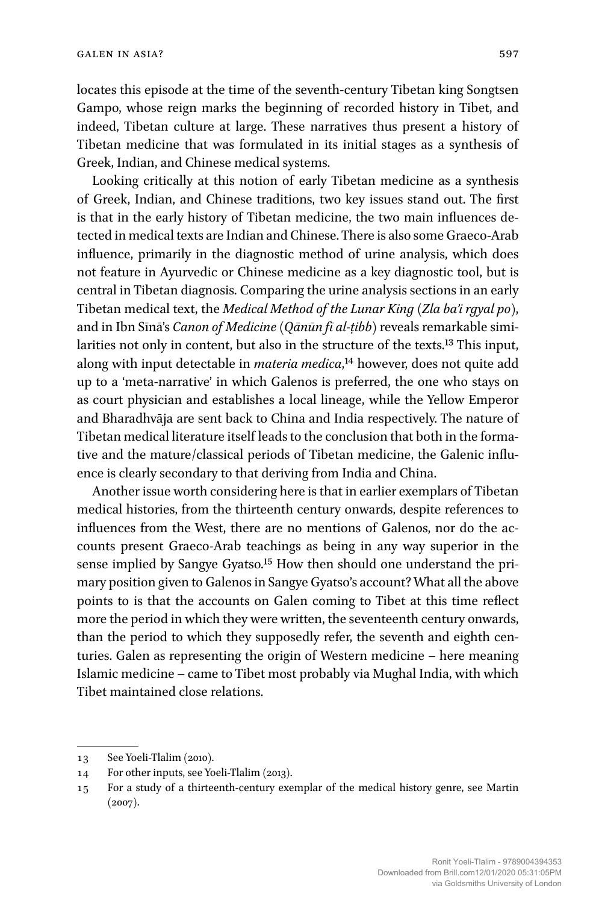locates this episode at the time of the seventh-century Tibetan king Songtsen Gampo, whose reign marks the beginning of recorded history in Tibet, and indeed, Tibetan culture at large. These narratives thus present a history of Tibetan medicine that was formulated in its initial stages as a synthesis of Greek, Indian, and Chinese medical systems.

Looking critically at this notion of early Tibetan medicine as a synthesis of Greek, Indian, and Chinese traditions, two key issues stand out. The first is that in the early history of Tibetan medicine, the two main influences detected in medical texts are Indian and Chinese. There is also some Graeco-Arab influence, primarily in the diagnostic method of urine analysis, which does not feature in Ayurvedic or Chinese medicine as a key diagnostic tool, but is central in Tibetan diagnosis. Comparing the urine analysis sections in an early Tibetan medical text, the *Medical Method of the Lunar King* (*Zla ba'i rgyal po*), and in Ibn Sīnā's *Canon of Medicine* (*Qānūn fī al-ṭibb)* reveals remarkable similarities not only in content, but also in the structure of the texts.13 This input, along with input detectable in *materia medica*,14 however, does not quite add up to a 'meta-narrative' in which Galenos is preferred, the one who stays on as court physician and establishes a local lineage, while the Yellow Emperor and Bharadhvāja are sent back to China and India respectively. The nature of Tibetan medical literature itself leads to the conclusion that both in the formative and the mature/classical periods of Tibetan medicine, the Galenic influence is clearly secondary to that deriving from India and China.

Another issue worth considering here is that in earlier exemplars of Tibetan medical histories, from the thirteenth century onwards, despite references to influences from the West, there are no mentions of Galenos, nor do the accounts present Graeco-Arab teachings as being in any way superior in the sense implied by Sangye Gyatso.<sup>15</sup> How then should one understand the primary position given to Galenos in Sangye Gyatso's account? What all the above points to is that the accounts on Galen coming to Tibet at this time reflect more the period in which they were written, the seventeenth century onwards, than the period to which they supposedly refer, the seventh and eighth centuries. Galen as representing the origin of Western medicine – here meaning Islamic medicine – came to Tibet most probably via Mughal India, with which Tibet maintained close relations.

<sup>13</sup> See Yoeli-Tlalim (2010).

<sup>14</sup> For other inputs, see Yoeli-Tlalim (2013).

<sup>15</sup> For a study of a thirteenth-century exemplar of the medical history genre, see Martin  $(2007)$ .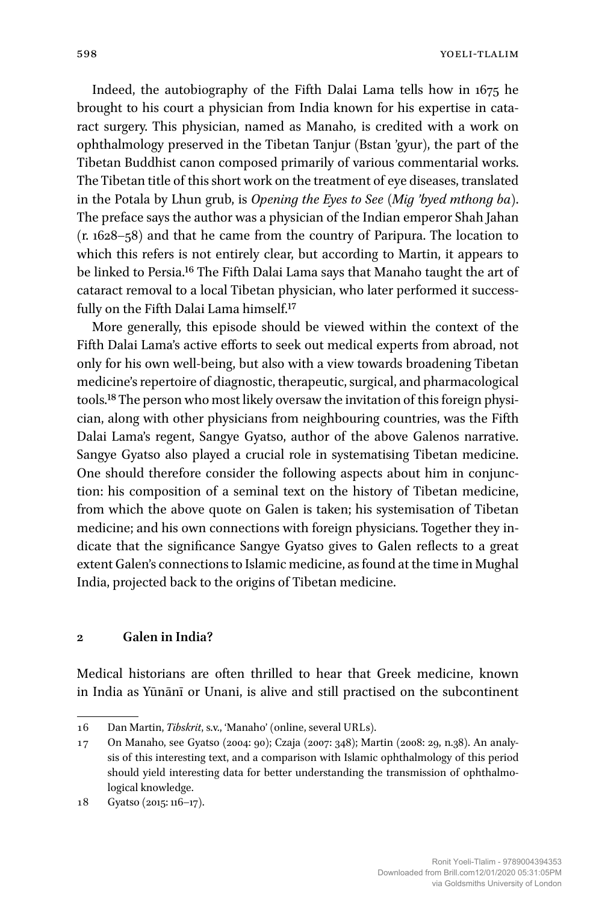598 Yoeli-Tlalim

Indeed, the autobiography of the Fifth Dalai Lama tells how in 1675 he brought to his court a physician from India known for his expertise in cataract surgery. This physician, named as Manaho, is credited with a work on ophthalmology preserved in the Tibetan Tanjur (Bstan 'gyur), the part of the Tibetan Buddhist canon composed primarily of various commentarial works. The Tibetan title of this short work on the treatment of eye diseases, translated in the Potala by Lhun grub, is *Opening the Eyes to See* (*Mig 'byed mthong ba*). The preface says the author was a physician of the Indian emperor Shah Jahan (r. 1628–58) and that he came from the country of Paripura. The location to which this refers is not entirely clear, but according to Martin, it appears to be linked to Persia.16 The Fifth Dalai Lama says that Manaho taught the art of cataract removal to a local Tibetan physician, who later performed it successfully on the Fifth Dalai Lama himself.17

More generally, this episode should be viewed within the context of the Fifth Dalai Lama's active efforts to seek out medical experts from abroad, not only for his own well-being, but also with a view towards broadening Tibetan medicine's repertoire of diagnostic, therapeutic, surgical, and pharmacological tools.18 The person who most likely oversaw the invitation of this foreign physician, along with other physicians from neighbouring countries, was the Fifth Dalai Lama's regent, Sangye Gyatso, author of the above Galenos narrative. Sangye Gyatso also played a crucial role in systematising Tibetan medicine. One should therefore consider the following aspects about him in conjunction: his composition of a seminal text on the history of Tibetan medicine, from which the above quote on Galen is taken; his systemisation of Tibetan medicine; and his own connections with foreign physicians. Together they indicate that the significance Sangye Gyatso gives to Galen reflects to a great extent Galen's connections to Islamic medicine, as found at the time in Mughal India, projected back to the origins of Tibetan medicine.

#### **2 Galen in India?**

Medical historians are often thrilled to hear that Greek medicine, known in India as Yūnānī or Unani, is alive and still practised on the subcontinent

<sup>16</sup> Dan Martin, *Tibskrit*, s.v., 'Manaho' (online, several URLs).

<sup>17</sup> On Manaho, see Gyatso (2004: 90); Czaja (2007: 348); Martin (2008: 29, n.38). An analysis of this interesting text, and a comparison with Islamic ophthalmology of this period should yield interesting data for better understanding the transmission of ophthalmological knowledge.

<sup>18</sup> Gyatso (2015: 116–17).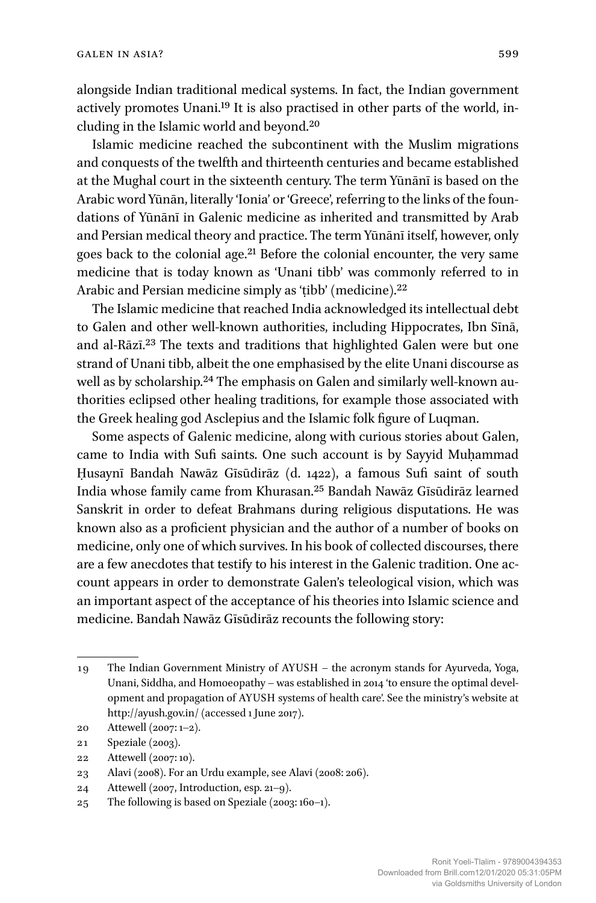alongside Indian traditional medical systems. In fact, the Indian government actively promotes Unani.19 It is also practised in other parts of the world, including in the Islamic world and beyond.20

Islamic medicine reached the subcontinent with the Muslim migrations and conquests of the twelfth and thirteenth centuries and became established at the Mughal court in the sixteenth century. The term Yūnānī is based on the Arabic word Yūnān, literally 'Ionia' or 'Greece', referring to the links of the foundations of Yūnānī in Galenic medicine as inherited and transmitted by Arab and Persian medical theory and practice. The term Yūnānī itself, however, only goes back to the colonial age.21 Before the colonial encounter, the very same medicine that is today known as 'Unani tibb' was commonly referred to in Arabic and Persian medicine simply as 'tibb' (medicine).<sup>22</sup>

The Islamic medicine that reached India acknowledged its intellectual debt to Galen and other well-known authorities, including Hippocrates, Ibn Sīnā, and al-Rāzī.23 The texts and traditions that highlighted Galen were but one strand of Unani tibb, albeit the one emphasised by the elite Unani discourse as well as by scholarship.24 The emphasis on Galen and similarly well-known authorities eclipsed other healing traditions, for example those associated with the Greek healing god Asclepius and the Islamic folk figure of Luqman.

Some aspects of Galenic medicine, along with curious stories about Galen, came to India with Sufi saints. One such account is by Sayyid Muḥammad Ḥusaynī Bandah Nawāz Gīsūdirāz (d. 1422), a famous Sufi saint of south India whose family came from Khurasan.25 Bandah Nawāz Gīsūdirāz learned Sanskrit in order to defeat Brahmans during religious disputations. He was known also as a proficient physician and the author of a number of books on medicine, only one of which survives. In his book of collected discourses, there are a few anecdotes that testify to his interest in the Galenic tradition. One account appears in order to demonstrate Galen's teleological vision, which was an important aspect of the acceptance of his theories into Islamic science and medicine. Bandah Nawāz Gīsūdirāz recounts the following story:

<sup>19</sup> The Indian Government Ministry of AYUSH – the acronym stands for Ayurveda, Yoga, Unani, Siddha, and Homoeopathy – was established in 2014 'to ensure the optimal development and propagation of AYUSH systems of health care'. See the ministry's website at <http://ayush.gov.in/>(accessed 1 June 2017).

<sup>20</sup> Attewell (2007: 1–2).

<sup>21</sup> Speziale (2003).

<sup>22</sup> Attewell (2007: 10).

<sup>23</sup> Alavi (2008). For an Urdu example, see Alavi (2008: 206).

<sup>24</sup> Attewell (2007, Introduction, esp. 21–9).

<sup>25</sup> The following is based on Speziale (2003: 160–1).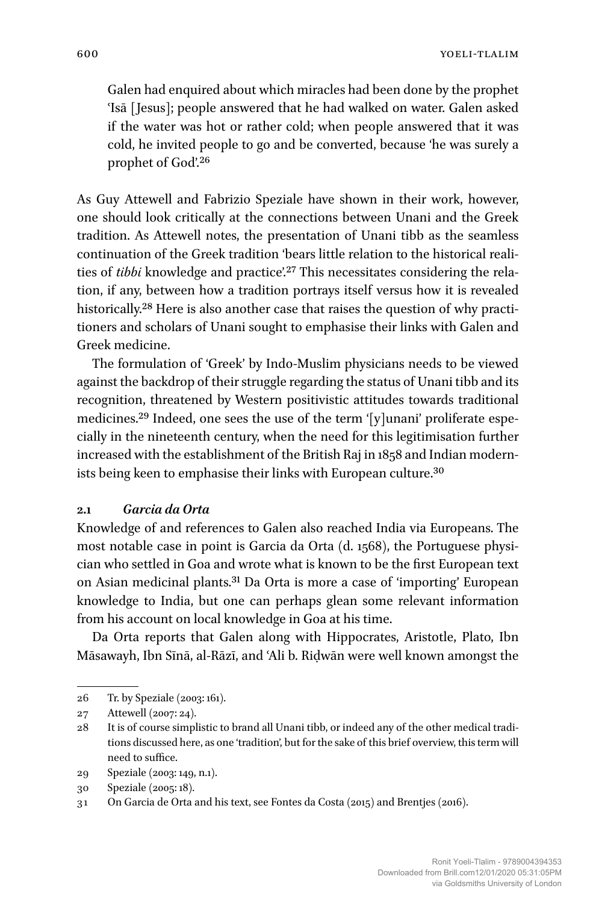Galen had enquired about which miracles had been done by the prophet 'Isā [Jesus]; people answered that he had walked on water. Galen asked if the water was hot or rather cold; when people answered that it was cold, he invited people to go and be converted, because 'he was surely a prophet of God'.26

As Guy Attewell and Fabrizio Speziale have shown in their work, however, one should look critically at the connections between Unani and the Greek tradition. As Attewell notes, the presentation of Unani tibb as the seamless continuation of the Greek tradition 'bears little relation to the historical realities of *tibbi* knowledge and practice'.<sup>27</sup> This necessitates considering the relation, if any, between how a tradition portrays itself versus how it is revealed historically.28 Here is also another case that raises the question of why practitioners and scholars of Unani sought to emphasise their links with Galen and Greek medicine.

The formulation of 'Greek' by Indo-Muslim physicians needs to be viewed against the backdrop of their struggle regarding the status of Unani tibb and its recognition, threatened by Western positivistic attitudes towards traditional medicines.29 Indeed, one sees the use of the term '[y]unani' proliferate especially in the nineteenth century, when the need for this legitimisation further increased with the establishment of the British Raj in 1858 and Indian modernists being keen to emphasise their links with European culture.30

# **2.1** *Garcia da Orta*

Knowledge of and references to Galen also reached India via Europeans. The most notable case in point is Garcia da Orta (d. 1568), the Portuguese physician who settled in Goa and wrote what is known to be the first European text on Asian medicinal plants.31 Da Orta is more a case of 'importing' European knowledge to India, but one can perhaps glean some relevant information from his account on local knowledge in Goa at his time.

Da Orta reports that Galen along with Hippocrates, Aristotle, Plato, Ibn Māsawayh, Ibn Sīnā, al-Rāzī, and ʿAli b. Riḍwān were well known amongst the

<sup>26</sup> Tr. by Speziale (2003: 161).

<sup>27</sup> Attewell (2007: 24).

<sup>28</sup> It is of course simplistic to brand all Unani tibb, or indeed any of the other medical traditions discussed here, as one 'tradition', but for the sake of this brief overview, this term will need to suffice.

<sup>29</sup> Speziale (2003: 149, n.1).

<sup>30</sup> Speziale (2005: 18).

<sup>31</sup> On Garcia de Orta and his text, see Fontes da Costa (2015) and Brentjes (2016).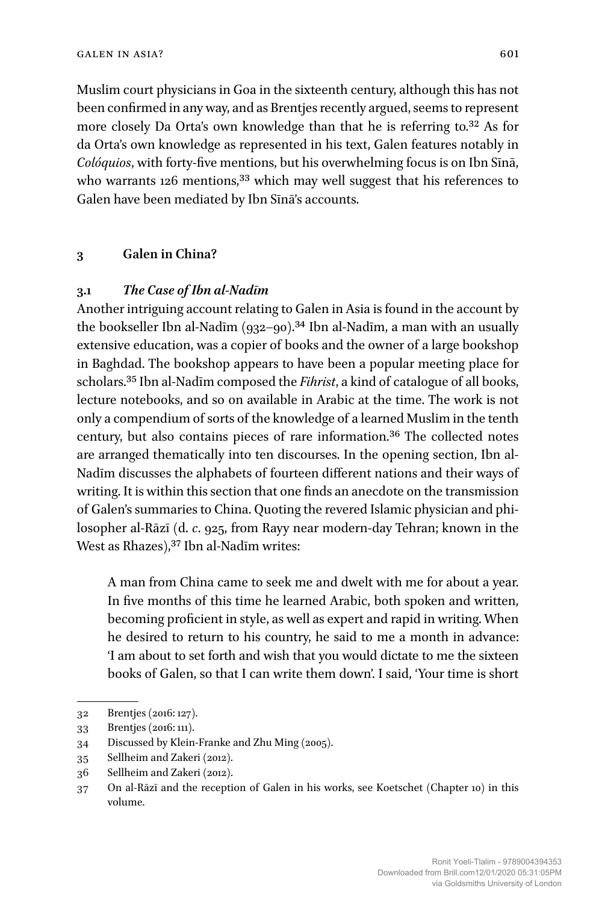Muslim court physicians in Goa in the sixteenth century, although this has not been confirmed in any way, and as Brentjes recently argued, seems to represent more closely Da Orta's own knowledge than that he is referring to.32 As for da Orta's own knowledge as represented in his text, Galen features notably in *Colóquios*, with forty-five mentions, but his overwhelming focus is on Ibn Sīnā, who warrants 126 mentions,<sup>33</sup> which may well suggest that his references to Galen have been mediated by Ibn Sīnā's accounts.

## **3 Galen in China?**

### **3.1** *The Case of Ibn al-Nadīm*

Another intriguing account relating to Galen in Asia is found in the account by the bookseller Ibn al-Nadīm (932-90).<sup>34</sup> Ibn al-Nadīm, a man with an usually extensive education, was a copier of books and the owner of a large bookshop in Baghdad. The bookshop appears to have been a popular meeting place for scholars.35 Ibn al-Nadīm composed the *Fihrist*, a kind of catalogue of all books, lecture notebooks, and so on available in Arabic at the time. The work is not only a compendium of sorts of the knowledge of a learned Muslim in the tenth century, but also contains pieces of rare information.36 The collected notes are arranged thematically into ten discourses. In the opening section, Ibn al-Nadīm discusses the alphabets of fourteen different nations and their ways of writing. It is within this section that one finds an anecdote on the transmission of Galen's summaries to China. Quoting the revered Islamic physician and philosopher al-Rāzī (d. *c*. 925, from Rayy near modern-day Tehran; known in the West as Rhazes), 37 Ibn al-Nadīm writes:

A man from China came to seek me and dwelt with me for about a year. In five months of this time he learned Arabic, both spoken and written, becoming proficient in style, as well as expert and rapid in writing. When he desired to return to his country, he said to me a month in advance: 'I am about to set forth and wish that you would dictate to me the sixteen books of Galen, so that I can write them down'. I said, 'Your time is short

<sup>32</sup> Brentjes (2016: 127).

<sup>33</sup> Brentjes (2016: 111).

<sup>34</sup> Discussed by Klein-Franke and Zhu Ming (2005).

<sup>35</sup> Sellheim and Zakeri (2012).

<sup>36</sup> Sellheim and Zakeri (2012).

<sup>37</sup> On al-Rāzī and the reception of Galen in his works, see Koetschet (Chapter 10) in this volume.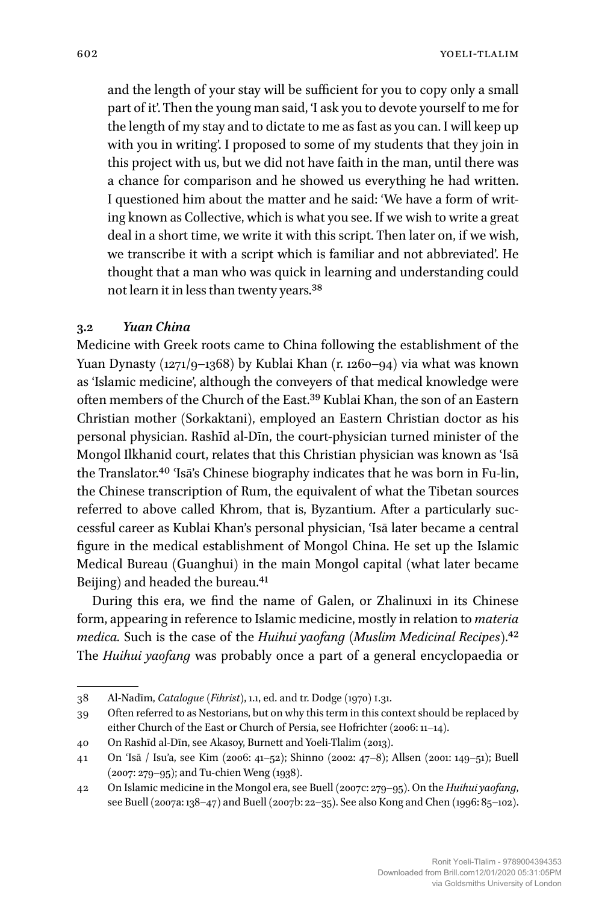602 Yoeli-Tlalim

and the length of your stay will be sufficient for you to copy only a small part of it'. Then the young man said, 'I ask you to devote yourself to me for the length of my stay and to dictate to me as fast as you can. I will keep up with you in writing'. I proposed to some of my students that they join in this project with us, but we did not have faith in the man, until there was a chance for comparison and he showed us everything he had written. I questioned him about the matter and he said: 'We have a form of writing known as Collective, which is what you see. If we wish to write a great deal in a short time, we write it with this script. Then later on, if we wish, we transcribe it with a script which is familiar and not abbreviated'. He thought that a man who was quick in learning and understanding could not learn it in less than twenty years.38

# **3.2** *Yuan China*

Medicine with Greek roots came to China following the establishment of the Yuan Dynasty (1271/9–1368) by Kublai Khan (r. 1260–94) via what was known as 'Islamic medicine', although the conveyers of that medical knowledge were often members of the Church of the East.<sup>39</sup> Kublai Khan, the son of an Eastern Christian mother (Sorkaktani), employed an Eastern Christian doctor as his personal physician. Rashīd al-Dīn, the court-physician turned minister of the Mongol Ilkhanid court, relates that this Christian physician was known as ʿIsā the Translator.<sup>40</sup> 'Isa's Chinese biography indicates that he was born in Fu-lin, the Chinese transcription of Rum, the equivalent of what the Tibetan sources referred to above called Khrom, that is, Byzantium. After a particularly successful career as Kublai Khan's personal physician, ʿIsā later became a central figure in the medical establishment of Mongol China. He set up the Islamic Medical Bureau (Guanghui) in the main Mongol capital (what later became Beijing) and headed the bureau.<sup>41</sup>

During this era, we find the name of Galen, or Zhalinuxi in its Chinese form, appearing in reference to Islamic medicine, mostly in relation to *materia medica.* Such is the case of the *Huihui yaofang* (*Muslim Medicinal Recipes*).42 The *Huihui yaofang* was probably once a part of a general encyclopaedia or

<sup>38</sup> Al-Nadīm, *Catalogue* (*Fihrist*), 1.1, ed. and tr. Dodge (1970) I.31.

<sup>39</sup> Often referred to as Nestorians, but on why this term in this context should be replaced by either Church of the East or Church of Persia, see Hofrichter (2006: 11–14).

<sup>40</sup> On Rashīd al-Dīn, see Akasoy, Burnett and Yoeli-Tlalim (2013).

<sup>41</sup> On ʿIsā / Isu'a, see Kim (2006: 41–52); Shinno (2002: 47–8); Allsen (2001: 149–51); Buell (2007: 279–95); and Tu-chien Weng (1938).

<sup>42</sup> On Islamic medicine in the Mongol era, see Buell (2007c: 279–95). On the *Huihui yaofang*, see Buell (2007a: 138–47) and Buell (2007b: 22–35). See also Kong and Chen (1996: 85–102).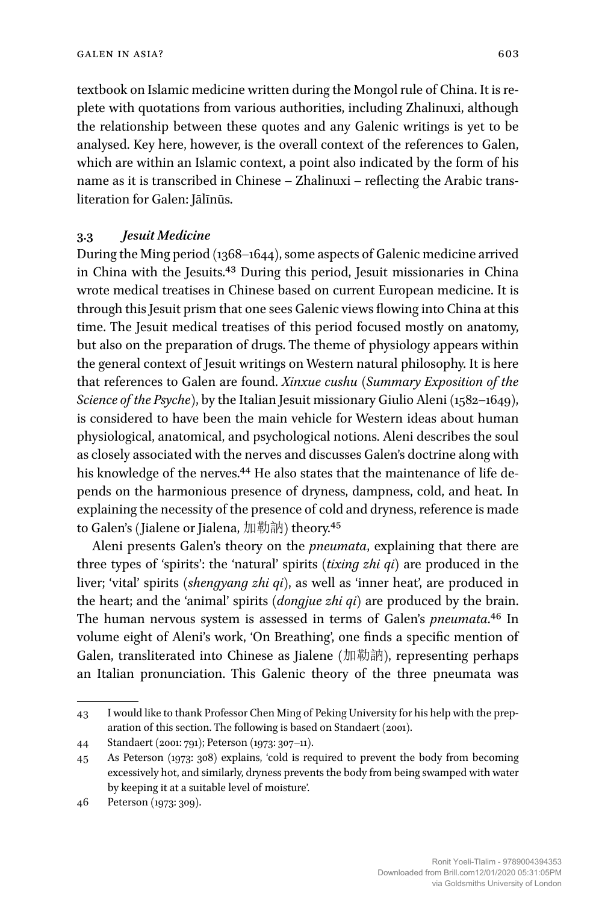textbook on Islamic medicine written during the Mongol rule of China. It is replete with quotations from various authorities, including Zhalinuxi, although the relationship between these quotes and any Galenic writings is yet to be analysed. Key here, however, is the overall context of the references to Galen, which are within an Islamic context, a point also indicated by the form of his name as it is transcribed in Chinese – Zhalinuxi – reflecting the Arabic transliteration for Galen: Jālīnūs.

# **3.3** *Jesuit Medicine*

During the Ming period (1368–1644), some aspects of Galenic medicine arrived in China with the Jesuits.43 During this period, Jesuit missionaries in China wrote medical treatises in Chinese based on current European medicine. It is through this Jesuit prism that one sees Galenic views flowing into China at this time. The Jesuit medical treatises of this period focused mostly on anatomy, but also on the preparation of drugs. The theme of physiology appears within the general context of Jesuit writings on Western natural philosophy. It is here that references to Galen are found. *Xinxue cushu* (*Summary Exposition of the Science of the Psyche*), by the Italian Jesuit missionary Giulio Aleni (1582–1649), is considered to have been the main vehicle for Western ideas about human physiological, anatomical, and psychological notions. Aleni describes the soul as closely associated with the nerves and discusses Galen's doctrine along with his knowledge of the nerves.<sup>44</sup> He also states that the maintenance of life depends on the harmonious presence of dryness, dampness, cold, and heat. In explaining the necessity of the presence of cold and dryness, reference is made to Galen's (Jialene or Jialena, 加勒訥) theory.<sup>45</sup>

Aleni presents Galen's theory on the *pneumata*, explaining that there are three types of 'spirits': the 'natural' spirits (*tixing zhi qi*) are produced in the liver; 'vital' spirits (*shengyang zhi qi*), as well as 'inner heat', are produced in the heart; and the 'animal' spirits (*dongjue zhi qi*) are produced by the brain. The human nervous system is assessed in terms of Galen's *pneumata*.46 In volume eight of Aleni's work, 'On Breathing', one finds a specific mention of Galen, transliterated into Chinese as Jialene (加勒訥), representing perhaps an Italian pronunciation. This Galenic theory of the three pneumata was

<sup>43</sup> I would like to thank Professor Chen Ming of Peking University for his help with the preparation of this section. The following is based on Standaert (2001).

<sup>44</sup> Standaert (2001: 791); Peterson (1973: 307–11).

<sup>45</sup> As Peterson (1973: 308) explains, 'cold is required to prevent the body from becoming excessively hot, and similarly, dryness prevents the body from being swamped with water by keeping it at a suitable level of moisture'.

<sup>46</sup> Peterson (1973: 309).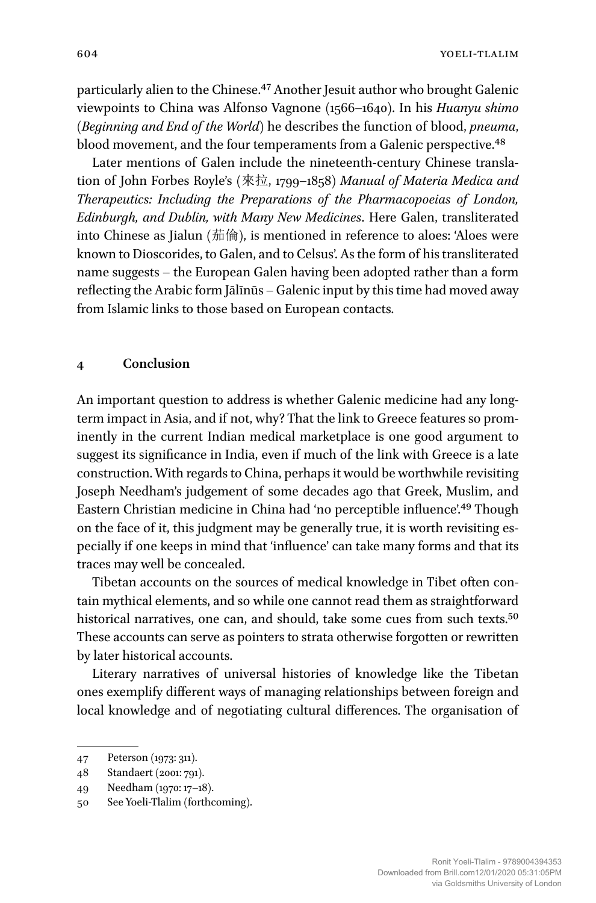particularly alien to the Chinese.<sup>47</sup> Another Jesuit author who brought Galenic viewpoints to China was Alfonso Vagnone (1566–1640). In his *Huanyu shimo* (*Beginning and End of the World*) he describes the function of blood, *pneuma*, blood movement, and the four temperaments from a Galenic perspective.<sup>48</sup>

Later mentions of Galen include the nineteenth-century Chinese translation of John Forbes Royle's (來拉, 1799–1858) *Manual of Materia Medica and Therapeutics: Including the Preparations of the Pharmacopoeias of London, Edinburgh, and Dublin, with Many New Medicines*. Here Galen, transliterated into Chinese as Jialun (茄倫), is mentioned in reference to aloes: 'Aloes were known to Dioscorides, to Galen, and to Celsus'. As the form of his transliterated name suggests – the European Galen having been adopted rather than a form reflecting the Arabic form Jālīnūs – Galenic input by this time had moved away from Islamic links to those based on European contacts.

## **4 Conclusion**

An important question to address is whether Galenic medicine had any longterm impact in Asia, and if not, why? That the link to Greece features so prominently in the current Indian medical marketplace is one good argument to suggest its significance in India, even if much of the link with Greece is a late construction. With regards to China, perhaps it would be worthwhile revisiting Joseph Needham's judgement of some decades ago that Greek, Muslim, and Eastern Christian medicine in China had 'no perceptible influence'.49 Though on the face of it, this judgment may be generally true, it is worth revisiting especially if one keeps in mind that 'influence' can take many forms and that its traces may well be concealed.

Tibetan accounts on the sources of medical knowledge in Tibet often contain mythical elements, and so while one cannot read them as straightforward historical narratives, one can, and should, take some cues from such texts.<sup>50</sup> These accounts can serve as pointers to strata otherwise forgotten or rewritten by later historical accounts.

Literary narratives of universal histories of knowledge like the Tibetan ones exemplify different ways of managing relationships between foreign and local knowledge and of negotiating cultural differences. The organisation of

<sup>47</sup> Peterson (1973: 311).

<sup>48</sup> Standaert (2001: 791).

<sup>49</sup> Needham (1970: 17–18).

<sup>50</sup> See Yoeli-Tlalim (forthcoming).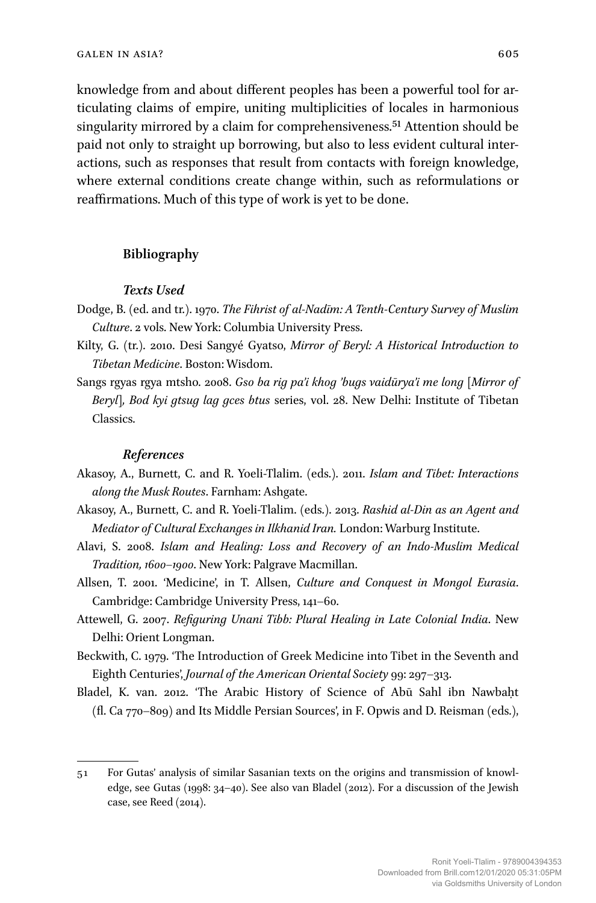knowledge from and about different peoples has been a powerful tool for articulating claims of empire, uniting multiplicities of locales in harmonious singularity mirrored by a claim for comprehensiveness.<sup>51</sup> Attention should be paid not only to straight up borrowing, but also to less evident cultural interactions, such as responses that result from contacts with foreign knowledge, where external conditions create change within, such as reformulations or reaffirmations. Much of this type of work is yet to be done.

#### **Bibliography**

#### *Texts Used*

- Dodge, B. (ed. and tr.). 1970. *The Fihrist of al-Nadīm: A Tenth-Century Survey of Muslim Culture*. 2 vols. New York: Columbia University Press.
- Kilty, G. (tr.). 2010. Desi Sangyé Gyatso, *Mirror of Beryl: A Historical Introduction to Tibetan Medicine*. Boston: Wisdom.
- Sangs rgyas rgya mtsho. 2008. *Gso ba rig pa'i khog 'bugs vaidūrya'i me long [Mirror of Beryl], Bod kyi gtsug lag gces btus* series, vol. 28. New Delhi: Institute of Tibetan Classics.

#### *References*

- Akasoy, A., Burnett, C. and R. Yoeli-Tlalim. (eds.). 2011. *Islam and Tibet: Interactions along the Musk Routes*. Farnham: Ashgate.
- Akasoy, A., Burnett, C. and R. Yoeli-Tlalim. (eds.). 2013. *Rashid al-Din as an Agent and Mediator of Cultural Exchanges in Ilkhanid Iran.* London: Warburg Institute.
- Alavi, S. 2008. *Islam and Healing: Loss and Recovery of an Indo-Muslim Medical Tradition, 1600–1900*. New York: Palgrave Macmillan.
- Allsen, T. 2001. 'Medicine', in T. Allsen, *Culture and Conquest in Mongol Eurasia*. Cambridge: Cambridge University Press, 141–60.
- Attewell, G. 2007. *Refiguring Unani Tibb: Plural Healing in Late Colonial India*. New Delhi: Orient Longman.
- Beckwith, C. 1979. 'The Introduction of Greek Medicine into Tibet in the Seventh and Eighth Centuries', *Journal of the American Oriental Society* 99: 297–313.
- Bladel, K. van. 2012. 'The Arabic History of Science of Abū Sahl ibn Nawbaḥt (fl. Ca 770–809) and Its Middle Persian Sources', in F. Opwis and D. Reisman (eds.),

<sup>51</sup> For Gutas' analysis of similar Sasanian texts on the origins and transmission of knowledge, see Gutas (1998: 34–40). See also van Bladel (2012). For a discussion of the Jewish case, see Reed (2014).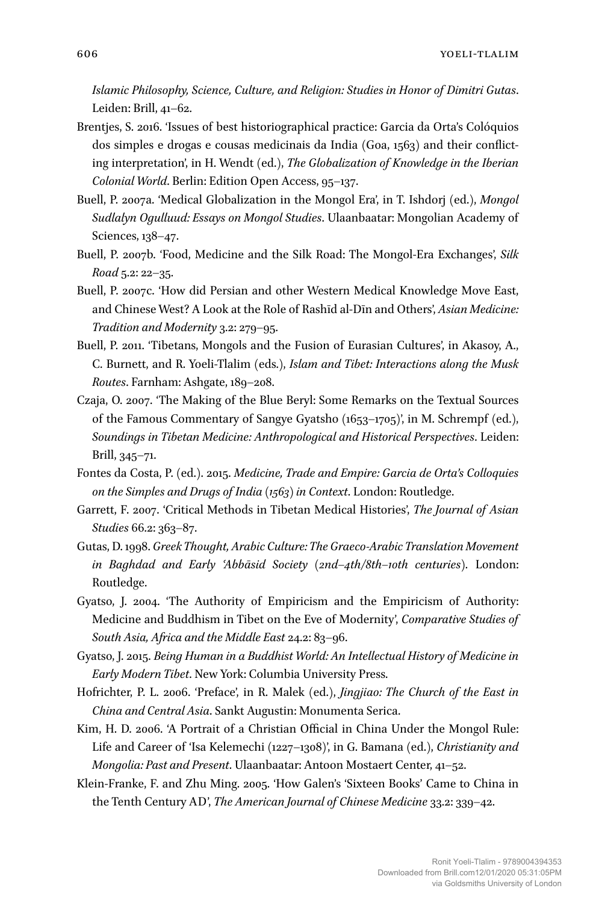*Islamic Philosophy, Science, Culture, and Religion: Studies in Honor of Dimitri Gutas*. Leiden: Brill, 41–62.

- Brentjes, S. 2016. 'Issues of best historiographical practice: Garcia da Orta's Colóquios dos simples e drogas e cousas medicinais da India (Goa, 1563) and their conflicting interpretation', in H. Wendt (ed.), *The Globalization of Knowledge in the Iberian Colonial World*. Berlin: Edition Open Access, 95–137.
- Buell, P. 2007a. 'Medical Globalization in the Mongol Era', in T. Ishdorj (ed.), *Mongol Sudlalyn Ogulluud: Essays on Mongol Studies*. Ulaanbaatar: Mongolian Academy of Sciences, 138–47.
- Buell, P. 2007b. 'Food, Medicine and the Silk Road: The Mongol-Era Exchanges', *Silk Road* 5.2: 22–35.
- Buell, P. 2007c. 'How did Persian and other Western Medical Knowledge Move East, and Chinese West? A Look at the Role of Rashīd al-Dīn and Others', *Asian Medicine: Tradition and Modernity* 3.2: 279–95.
- Buell, P. 2011. 'Tibetans, Mongols and the Fusion of Eurasian Cultures', in Akasoy, A., C. Burnett, and R. Yoeli-Tlalim (eds.), *Islam and Tibet: Interactions along the Musk Routes*. Farnham: Ashgate, 189–208.
- Czaja, O. 2007. 'The Making of the Blue Beryl: Some Remarks on the Textual Sources of the Famous Commentary of Sangye Gyatsho (1653–1705)', in M. Schrempf (ed.), *Soundings in Tibetan Medicine: Anthropological and Historical Perspectives*. Leiden: Brill, 345–71.
- Fontes da Costa, P. (ed.). 2015. *Medicine, Trade and Empire: Garcia de Orta's Colloquies on the Simples and Drugs of India (1563) in Context*. London: Routledge.
- Garrett, F. 2007. 'Critical Methods in Tibetan Medical Histories', *The Journal of Asian Studies* 66.2: 363–87.
- Gutas, D. 1998. *Greek Thought, Arabic Culture: The Graeco-Arabic Translation Movement in Baghdad and Early ʿAbbāsid Society (2nd–4th/8th–10th centuries)*. London: Routledge.
- Gyatso, J. 2004. 'The Authority of Empiricism and the Empiricism of Authority: Medicine and Buddhism in Tibet on the Eve of Modernity', *Comparative Studies of South Asia, Africa and the Middle East* 24.2: 83–96.
- Gyatso, J. 2015. *Being Human in a Buddhist World: An Intellectual History of Medicine in Early Modern Tibet*. New York: Columbia University Press.
- Hofrichter, P. L. 2006. 'Preface', in R. Malek (ed.), *Jingjiao: The Church of the East in China and Central Asia*. Sankt Augustin: Monumenta Serica.
- Kim, H. D. 2006. 'A Portrait of a Christian Official in China Under the Mongol Rule: Life and Career of 'Isa Kelemechi (1227–1308)', in G. Bamana (ed.), *Christianity and Mongolia: Past and Present*. Ulaanbaatar: Antoon Mostaert Center, 41–52.
- Klein-Franke, F. and Zhu Ming. 2005. 'How Galen's 'Sixteen Books' Came to China in the Tenth Century AD', *The American Journal of Chinese Medicine* 33.2: 339–42.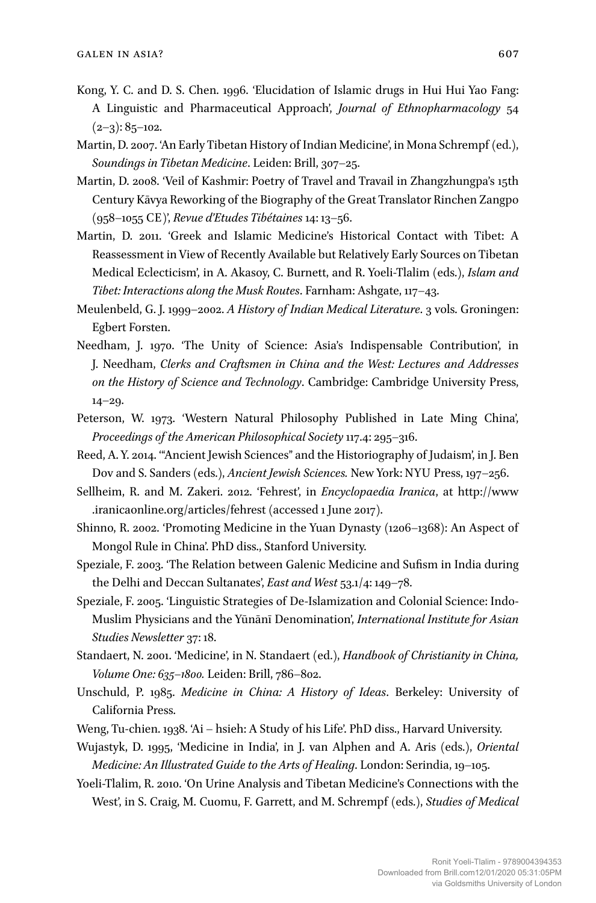- Kong, Y. C. and D. S. Chen. 1996. 'Elucidation of Islamic drugs in Hui Hui Yao Fang: A Linguistic and Pharmaceutical Approach', *Journal of Ethnopharmacology* 54  $(2-3): 85-102.$
- Martin, D. 2007. 'An Early Tibetan History of Indian Medicine', in Mona Schrempf (ed.), *Soundings in Tibetan Medicine*. Leiden: Brill, 307–25.
- Martin, D. 2008. 'Veil of Kashmir: Poetry of Travel and Travail in Zhangzhungpa's 15th Century Kāvya Reworking of the Biography of the Great Translator Rinchen Zangpo (958–1055 CE)', *Revue d'Etudes Tibétaines* 14: 13–56.
- Martin, D. 2011. 'Greek and Islamic Medicine's Historical Contact with Tibet: A Reassessment in View of Recently Available but Relatively Early Sources on Tibetan Medical Eclecticism', in A. Akasoy, C. Burnett, and R. Yoeli-Tlalim (eds.), *Islam and Tibet: Interactions along the Musk Routes*. Farnham: Ashgate, 117–43.
- Meulenbeld, G. J. 1999–2002. *A History of Indian Medical Literature*. 3 vols. Groningen: Egbert Forsten.
- Needham, J. 1970. 'The Unity of Science: Asia's Indispensable Contribution', in J. Needham, *Clerks and Craftsmen in China and the West: Lectures and Addresses on the History of Science and Technology*. Cambridge: Cambridge University Press, 14–29.
- Peterson, W. 1973. 'Western Natural Philosophy Published in Late Ming China', *Proceedings of the American Philosophical Society* 117.4: 295–316.
- Reed, A. Y. 2014. '"Ancient Jewish Sciences" and the Historiography of Judaism', in J. Ben Dov and S. Sanders (eds.), *Ancient Jewish Sciences.* New York: NYU Press, 197–256.
- Sellheim, R. and M. Zakeri. 2012. 'Fehrest', in *Encyclopaedia Iranica*, at [http://www](http://www.iranicaonline.org/articles/fehrest) [.iranicaonline.org/articles/fehrest](http://www.iranicaonline.org/articles/fehrest) (accessed 1 June 2017).
- Shinno, R. 2002. 'Promoting Medicine in the Yuan Dynasty (1206–1368): An Aspect of Mongol Rule in China'. PhD diss., Stanford University.
- Speziale, F. 2003. 'The Relation between Galenic Medicine and Sufism in India during the Delhi and Deccan Sultanates', *East and West* 53.1/4: 149–78.
- Speziale, F. 2005. 'Linguistic Strategies of De-Islamization and Colonial Science: Indo-Muslim Physicians and the Yūnānī Denomination', *International Institute for Asian Studies Newsletter* 37: 18.
- Standaert, N. 2001. 'Medicine', in N. Standaert (ed.), *Handbook of Christianity in China, Volume One: 635–1800.* Leiden: Brill, 786–802.
- Unschuld, P. 1985. *Medicine in China: A History of Ideas*. Berkeley: University of California Press.
- Weng, Tu-chien. 1938. 'Ai hsieh: A Study of his Life'. PhD diss., Harvard University.
- Wujastyk, D. 1995, 'Medicine in India', in J. van Alphen and A. Aris (eds.), *Oriental Medicine: An Illustrated Guide to the Arts of Healing*. London: Serindia, 19–105.
- Yoeli-Tlalim, R. 2010. 'On Urine Analysis and Tibetan Medicine's Connections with the West', in S. Craig, M. Cuomu, F. Garrett, and M. Schrempf (eds.), *Studies of Medical*